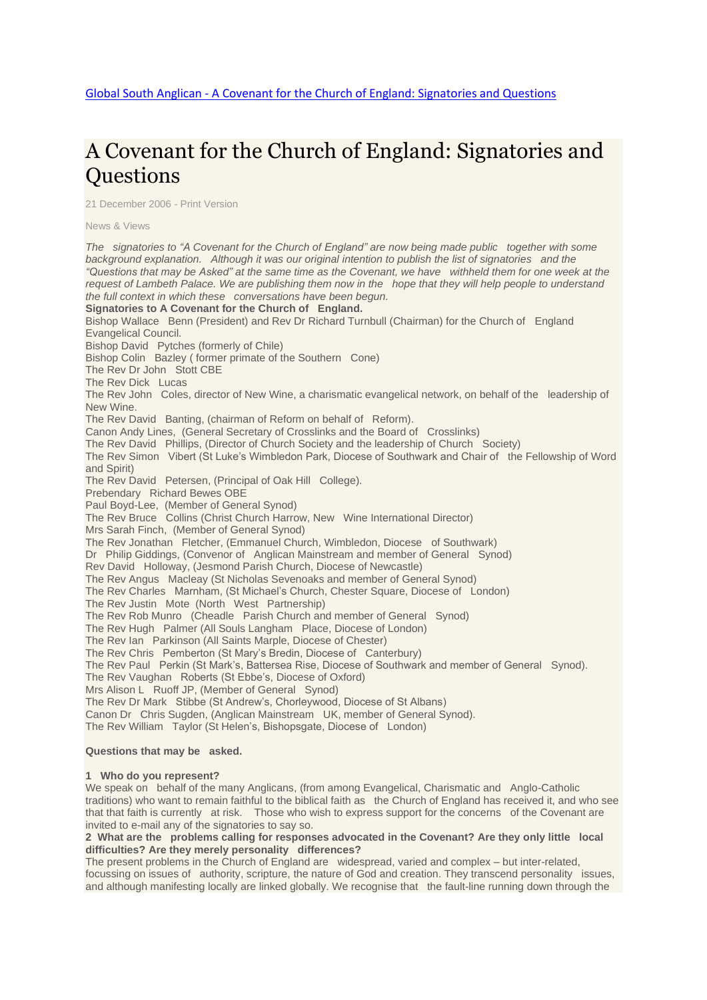# A Covenant for the Church of England: [Signatories](http://www.globalsouthanglican.org/index.php/blog/comments/a_covenant_for_the_church_of_england_signatories_and_questions) and **Ouestions**

21 December 2006 - Print [Version](http://globalsouthanglican.org/index.php/blog/printing/a_covenant_for_the_church_of_england_signatories_and_questions)

News & [Views](http://globalsouthanglican.org/index.php/archives/category/news_views)

The signatories to "A Covenant for the Church of England" are now being made public together with some *background explanation. Although it was our original intention to publish the list of signatories and the* "Questions that may be Asked" at the same time as the Covenant, we have withheld them for one week at the request of Lambeth Palace. We are publishing them now in the hope that they will help people to understand *the full context in which these conversations have been begun.* **Signatories to A Covenant for the Church of England.** Bishop Wallace Benn (President) and Rev Dr Richard Turnbull (Chairman) for the Church of England Evangelical Council. Bishop David Pytches (formerly of Chile) Bishop Colin Bazley ( former primate of the Southern Cone) The Rev Dr John Stott CBE The Rev Dick Lucas The Rev John Coles, director of New Wine, a charismatic evangelical network, on behalf of the leadership of New Wine. The Rev David Banting, (chairman of Reform on behalf of Reform). Canon Andy Lines, (General Secretary of Crosslinks and the Board of Crosslinks) The Rev David Phillips, (Director of Church Society and the leadership of Church Society) The Rev Simon Vibert (St Luke's Wimbledon Park, Diocese of Southwark and Chair of the Fellowship of Word and Spirit) The Rev David Petersen, (Principal of Oak Hill College). Prebendary Richard Bewes OBE Paul Boyd-Lee, (Member of General Synod) The Rev Bruce Collins (Christ Church Harrow, New Wine International Director) Mrs Sarah Finch, (Member of General Synod) The Rev Jonathan Fletcher, (Emmanuel Church, Wimbledon, Diocese of Southwark) Dr Philip Giddings, (Convenor of Anglican Mainstream and member of General Synod) Rev David Holloway, (Jesmond Parish Church, Diocese of Newcastle) The Rev Angus Macleay (St Nicholas Sevenoaks and member of General Synod) The Rev Charles Marnham, (St Michael's Church, Chester Square, Diocese of London) The Rev Justin Mote (North West Partnership) The Rev Rob Munro (Cheadle Parish Church and member of General Synod) The Rev Hugh Palmer (All Souls Langham Place, Diocese of London) The Rev Ian Parkinson (All Saints Marple, Diocese of Chester) The Rev Chris Pemberton (St Mary's Bredin, Diocese of Canterbury) The Rev Paul Perkin (St Mark's, Battersea Rise, Diocese of Southwark and member of General Synod). The Rev Vaughan Roberts (St Ebbe's, Diocese of Oxford) Mrs Alison L Ruoff JP, (Member of General Synod) The Rev Dr Mark Stibbe (St Andrew's, Chorleywood, Diocese of St Albans) Canon Dr Chris Sugden, (Anglican Mainstream UK, member of General Synod). The Rev William Taylor (St Helen's, Bishopsgate, Diocese of London) **Questions that may be asked.**

#### **1 Who do you represent?**

We speak on behalf of the many Anglicans, (from among Evangelical, Charismatic and Anglo-Catholic traditions) who want to remain faithful to the biblical faith as the Church of England has received it, and who see that that faith is currently at risk. Those who wish to express support for the concerns of the Covenant are invited to e-mail any of the signatories to say so.

#### **2 What are the problems calling for responses advocated in the Covenant? Are they only little local difficulties? Are they merely personality differences?**

The present problems in the Church of England are widespread, varied and complex – but inter-related, focussing on issues of authority, scripture, the nature of God and creation. They transcend personality issues, and although manifesting locally are linked globally. We recognise that the fault-line running down through the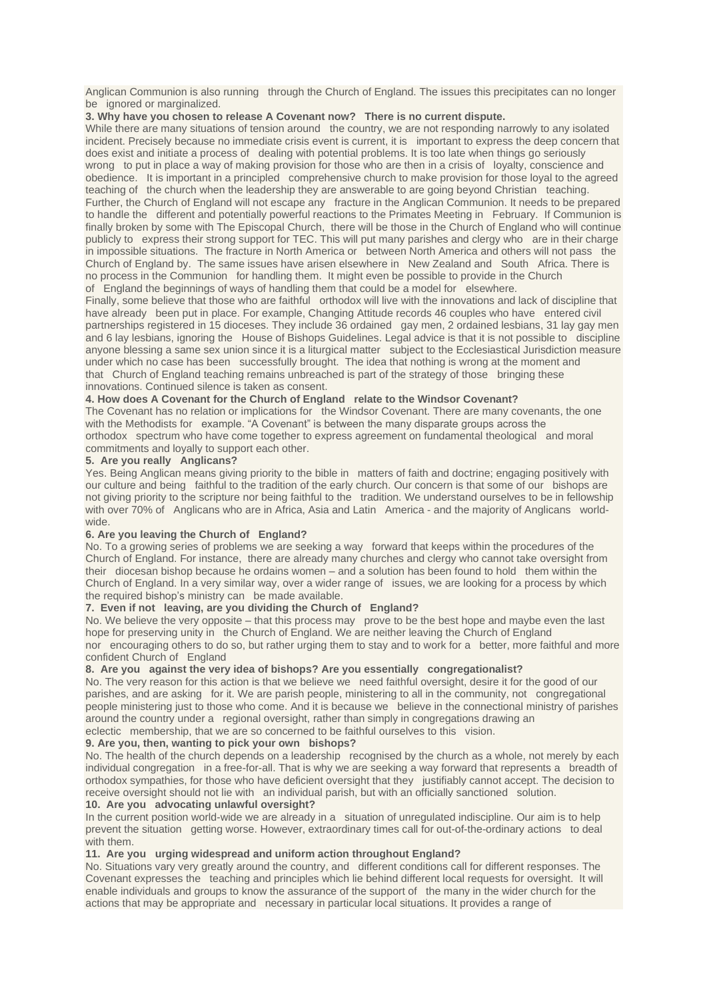Anglican Communion is also running through the Church of England. The issues this precipitates can no longer be ignored or marginalized.

#### **3. Why have you chosen to release A Covenant now? There is no current dispute.**

While there are many situations of tension around the country, we are not responding narrowly to any isolated incident. Precisely because no immediate crisis event is current, it is important to express the deep concern that does exist and initiate a process of dealing with potential problems. It is too late when things go seriously wrong to put in place a way of making provision for those who are then in a crisis of loyalty, conscience and obedience. It is important in a principled comprehensive church to make provision for those loyal to the agreed teaching of the church when the leadership they are answerable to are going beyond Christian teaching. Further, the Church of England will not escape any fracture in the Anglican Communion. It needs to be prepared to handle the different and potentially powerful reactions to the Primates Meeting in February. If Communion is finally broken by some with The Episcopal Church, there will be those in the Church of England who will continue publicly to express their strong support for TEC. This will put many parishes and clergy who are in their charge in impossible situations. The fracture in North America or between North America and others will not pass the Church of England by. The same issues have arisen elsewhere in New Zealand and South Africa. There is no process in the Communion for handling them. It might even be possible to provide in the Church of England the beginnings of ways of handling them that could be a model for elsewhere.

Finally, some believe that those who are faithful orthodox will live with the innovations and lack of discipline that have already been put in place. For example, Changing Attitude records 46 couples who have entered civil partnerships registered in 15 dioceses. They include 36 ordained gay men, 2 ordained lesbians, 31 lay gay men and 6 lay lesbians, ignoring the House of Bishops Guidelines. Legal advice is that it is not possible to discipline anyone blessing a same sex union since it is a liturgical matter subject to the Ecclesiastical Jurisdiction measure under which no case has been successfully brought. The idea that nothing is wrong at the moment and that Church of England teaching remains unbreached is part of the strategy of those bringing these innovations. Continued silence is taken as consent.

#### **4. How does A Covenant for the Church of England relate to the Windsor Covenant?**

The Covenant has no relation or implications for the Windsor Covenant. There are many covenants, the one with the Methodists for example. "A Covenant" is between the many disparate groups across the orthodox spectrum who have come together to express agreement on fundamental theological and moral commitments and loyally to support each other.

#### **5. Are you really Anglicans?**

Yes. Being Anglican means giving priority to the bible in matters of faith and doctrine; engaging positively with our culture and being faithful to the tradition of the early church. Our concern is that some of our bishops are not giving priority to the scripture nor being faithful to the tradition. We understand ourselves to be in fellowship with over 70% of Anglicans who are in Africa, Asia and Latin America - and the majority of Anglicans worldwide.

#### **6. Are you leaving the Church of England?**

No. To a growing series of problems we are seeking a way forward that keeps within the procedures of the Church of England. For instance, there are already many churches and clergy who cannot take oversight from their diocesan bishop because he ordains women – and a solution has been found to hold them within the Church of England. In a very similar way, over a wider range of issues, we are looking for a process by which the required bishop's ministry can be made available.

### **7. Even if not leaving, are you dividing the Church of England?**

No. We believe the very opposite – that this process may prove to be the best hope and maybe even the last hope for preserving unity in the Church of England. We are neither leaving the Church of England nor encouraging others to do so, but rather urging them to stay and to work for a better, more faithful and more confident Church of England

#### **8. Are you against the very idea of bishops? Are you essentially congregationalist?**

No. The very reason for this action is that we believe we need faithful oversight, desire it for the good of our parishes, and are asking for it. We are parish people, ministering to all in the community, not congregational people ministering just to those who come. And it is because we believe in the connectional ministry of parishes around the country under a regional oversight, rather than simply in congregations drawing an eclectic membership, that we are so concerned to be faithful ourselves to this vision.

# **9. Are you, then, wanting to pick your own bishops?**

No. The health of the church depends on a leadership recognised by the church as a whole, not merely by each individual congregation in a free-for-all. That is why we are seeking a way forward that represents a breadth of orthodox sympathies, for those who have deficient oversight that they justifiably cannot accept. The decision to receive oversight should not lie with an individual parish, but with an officially sanctioned solution.

#### **10. Are you advocating unlawful oversight?**

In the current position world-wide we are already in a situation of unregulated indiscipline. Our aim is to help prevent the situation getting worse. However, extraordinary times call for out-of-the-ordinary actions to deal with them.

#### **11. Are you urging widespread and uniform action throughout England?**

No. Situations vary very greatly around the country, and different conditions call for different responses. The Covenant expresses the teaching and principles which lie behind different local requests for oversight. It will enable individuals and groups to know the assurance of the support of the many in the wider church for the actions that may be appropriate and necessary in particular local situations. It provides a range of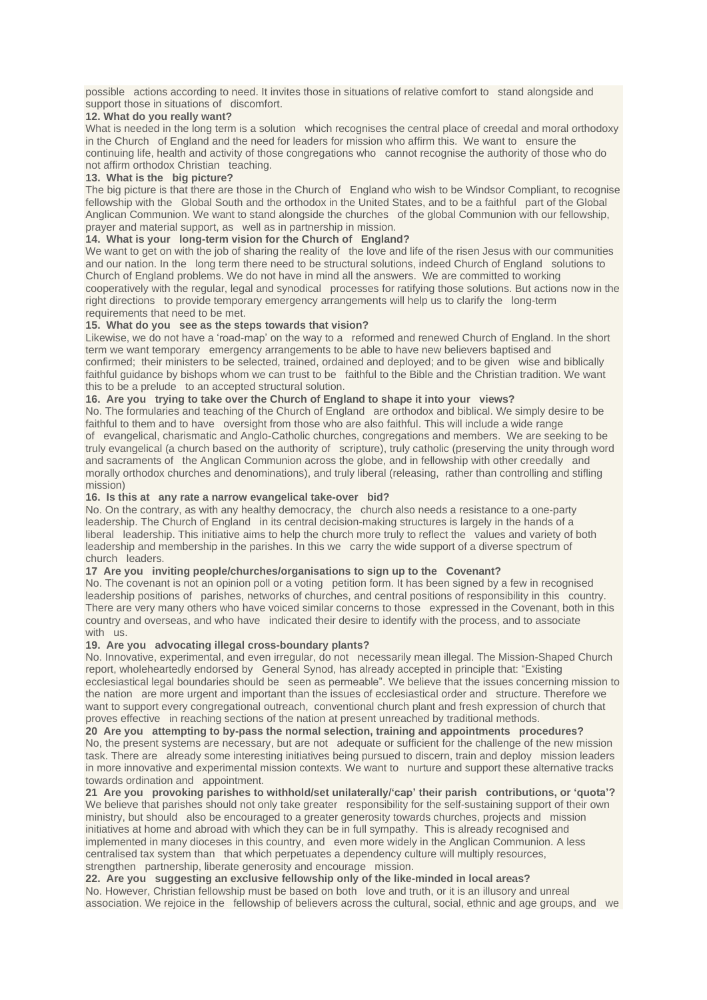possible actions according to need. It invites those in situations of relative comfort to stand alongside and support those in situations of discomfort.

#### **12. What do you really want?**

What is needed in the long term is a solution which recognises the central place of creedal and moral orthodoxy in the Church of England and the need for leaders for mission who affirm this. We want to ensure the continuing life, health and activity of those congregations who cannot recognise the authority of those who do not affirm orthodox Christian teaching.

#### **13. What is the big picture?**

The big picture is that there are those in the Church of England who wish to be Windsor Compliant, to recognise fellowship with the Global South and the orthodox in the United States, and to be a faithful part of the Global Anglican Communion. We want to stand alongside the churches of the global Communion with our fellowship, prayer and material support, as well as in partnership in mission.

#### **14. What is your long-term vision for the Church of England?**

We want to get on with the job of sharing the reality of the love and life of the risen Jesus with our communities and our nation. In the long term there need to be structural solutions, indeed Church of England solutions to Church of England problems. We do not have in mind all the answers. We are committed to working cooperatively with the regular, legal and synodical processes for ratifying those solutions. But actions now in the right directions to provide temporary emergency arrangements will help us to clarify the long-term requirements that need to be met.

#### **15. What do you see as the steps towards that vision?**

Likewise, we do not have a 'road-map' on the way to a reformed and renewed Church of England. In the short term we want temporary emergency arrangements to be able to have new believers baptised and confirmed; their ministers to be selected, trained, ordained and deployed; and to be given wise and biblically faithful guidance by bishops whom we can trust to be faithful to the Bible and the Christian tradition. We want this to be a prelude to an accepted structural solution.

#### **16. Are you trying to take over the Church of England to shape it into your views?**

No. The formularies and teaching of the Church of England are orthodox and biblical. We simply desire to be faithful to them and to have oversight from those who are also faithful. This will include a wide range of evangelical, charismatic and Anglo-Catholic churches, congregations and members. We are seeking to be truly evangelical (a church based on the authority of scripture), truly catholic (preserving the unity through word and sacraments of the Anglican Communion across the globe, and in fellowship with other creedally and morally orthodox churches and denominations), and truly liberal (releasing, rather than controlling and stifling mission)

#### **16. Is this at any rate a narrow evangelical take-over bid?**

No. On the contrary, as with any healthy democracy, the church also needs a resistance to a one-party leadership. The Church of England in its central decision-making structures is largely in the hands of a liberal leadership. This initiative aims to help the church more truly to reflect the values and variety of both leadership and membership in the parishes. In this we carry the wide support of a diverse spectrum of church leaders.

## **17 Are you inviting people/churches/organisations to sign up to the Covenant?**

No. The covenant is not an opinion poll or a voting petition form. It has been signed by a few in recognised leadership positions of parishes, networks of churches, and central positions of responsibility in this country. There are very many others who have voiced similar concerns to those expressed in the Covenant, both in this country and overseas, and who have indicated their desire to identify with the process, and to associate with us.

#### **19. Are you advocating illegal cross-boundary plants?**

No. Innovative, experimental, and even irregular, do not necessarily mean illegal. The Mission-Shaped Church report, wholeheartedly endorsed by General Synod, has already accepted in principle that: "Existing ecclesiastical legal boundaries should be seen as permeable". We believe that the issues concerning mission to the nation are more urgent and important than the issues of ecclesiastical order and structure. Therefore we want to support every congregational outreach, conventional church plant and fresh expression of church that proves effective in reaching sections of the nation at present unreached by traditional methods.

**20 Are you attempting to by-pass the normal selection, training and appointments procedures?** No, the present systems are necessary, but are not adequate or sufficient for the challenge of the new mission task. There are already some interesting initiatives being pursued to discern, train and deploy mission leaders in more innovative and experimental mission contexts. We want to nurture and support these alternative tracks towards ordination and appointment.

**21 Are you provoking parishes to withhold/set unilaterally/'cap' their parish contributions, or 'quota'?** We believe that parishes should not only take greater responsibility for the self-sustaining support of their own ministry, but should also be encouraged to a greater generosity towards churches, projects and mission initiatives at home and abroad with which they can be in full sympathy. This is already recognised and implemented in many dioceses in this country, and even more widely in the Anglican Communion. A less centralised tax system than that which perpetuates a dependency culture will multiply resources, strengthen partnership, liberate generosity and encourage mission.

#### **22. Are you suggesting an exclusive fellowship only of the like-minded in local areas?**

No. However, Christian fellowship must be based on both love and truth, or it is an illusory and unreal association. We rejoice in the fellowship of believers across the cultural, social, ethnic and age groups, and we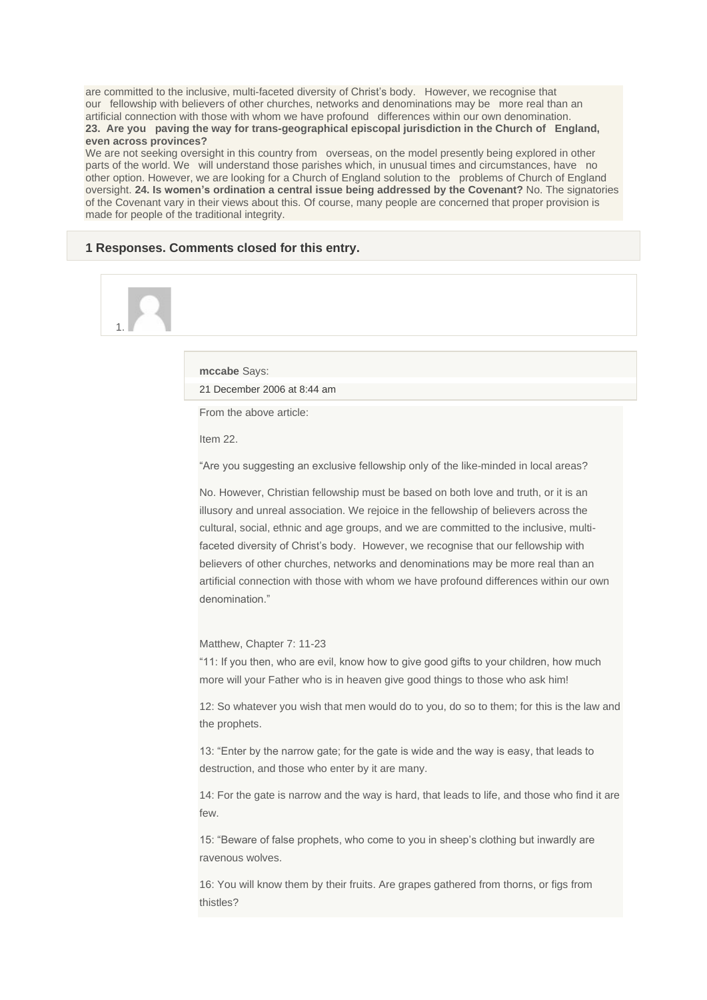are committed to the inclusive, multi-faceted diversity of Christ's body. However, we recognise that our fellowship with believers of other churches, networks and denominations may be more real than an artificial connection with those with whom we have profound differences within our own denomination. **23. Are you paving the way for trans-geographical episcopal jurisdiction in the Church of England, even across provinces?**

We are not seeking oversight in this country from overseas, on the model presently being explored in other parts of the world. We will understand those parishes which, in unusual times and circumstances, have no other option. However, we are looking for a Church of England solution to the problems of Church of England oversight. **24. Is women's ordination a central issue being addressed by the Covenant?** No. The signatories of the Covenant vary in their views about this. Of course, many people are concerned that proper provision is made for people of the traditional integrity.

#### **1 Responses. Comments closed for this entry.**

# 1.

**mccabe** Says: 21 [December](http://www.globalsouthanglican.org/blog/comments/a_covenant_for_the_church_of_england_signatories_and_questions#comment-1131) 2006 at 8:44 am

From the above article:

Item 22.

"Are you suggesting an exclusive fellowship only of the like-minded in local areas?

No. However, Christian fellowship must be based on both love and truth, or it is an illusory and unreal association. We rejoice in the fellowship of believers across the cultural, social, ethnic and age groups, and we are committed to the inclusive, multifaceted diversity of Christ's body. However, we recognise that our fellowship with believers of other churches, networks and denominations may be more real than an artificial connection with those with whom we have profound differences within our own denomination."

#### Matthew, Chapter 7: 11-23

"11: If you then, who are evil, know how to give good gifts to your children, how much more will your Father who is in heaven give good things to those who ask him!

12: So whatever you wish that men would do to you, do so to them; for this is the law and the prophets.

13: "Enter by the narrow gate; for the gate is wide and the way is easy, that leads to destruction, and those who enter by it are many.

14: For the gate is narrow and the way is hard, that leads to life, and those who find it are few.

15: "Beware of false prophets, who come to you in sheep's clothing but inwardly are ravenous wolves.

16: You will know them by their fruits. Are grapes gathered from thorns, or figs from thistles?